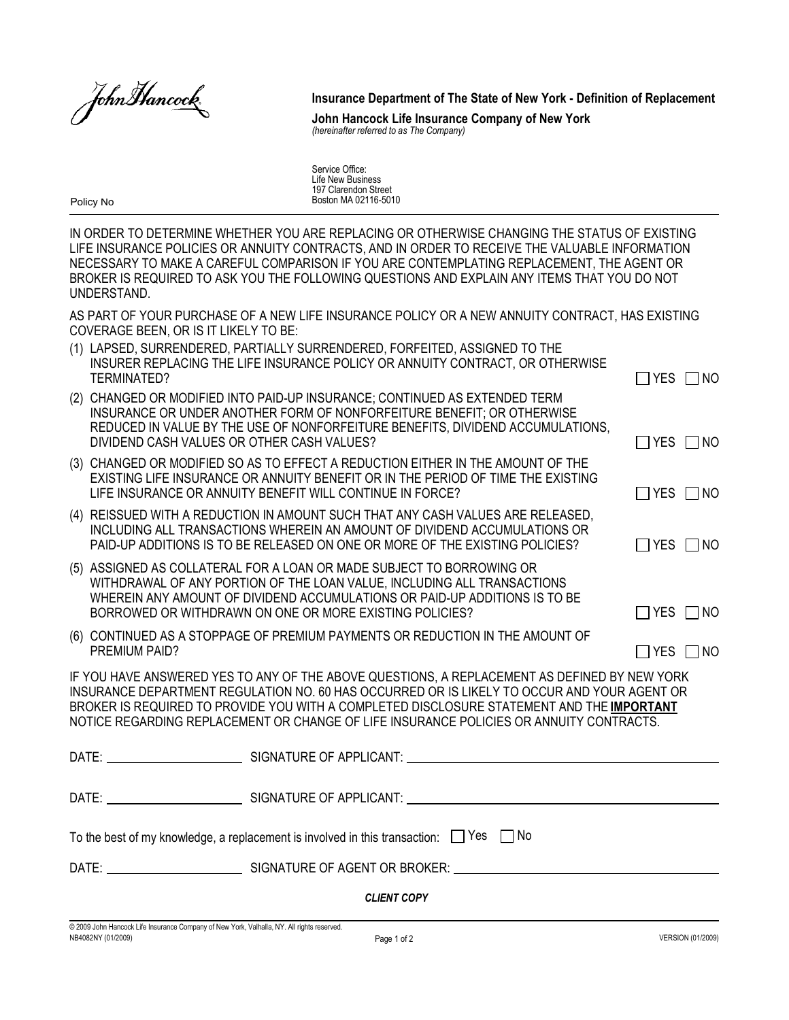John Hancock.

Insurance Department of The State of New York - Definition of Replacement

*(hereinafter referred to as The Company)* John Hancock Life Insurance Company of New York

Service Office: Life New Business 197 Clarendon Street Boston MA 02116-5010

Policy No

IN ORDER TO DETERMINE WHETHER YOU ARE REPLACING OR OTHERWISE CHANGING THE STATUS OF EXISTING LIFE INSURANCE POLICIES OR ANNUITY CONTRACTS, AND IN ORDER TO RECEIVE THE VALUABLE INFORMATION NECESSARY TO MAKE A CAREFUL COMPARISON IF YOU ARE CONTEMPLATING REPLACEMENT, THE AGENT OR BROKER IS REQUIRED TO ASK YOU THE FOLLOWING QUESTIONS AND EXPLAIN ANY ITEMS THAT YOU DO NOT **UNDERSTAND** 

AS PART OF YOUR PURCHASE OF A NEW LIFE INSURANCE POLICY OR A NEW ANNUITY CONTRACT, HAS EXISTING COVERAGE BEEN, OR IS IT LIKELY TO BE:

|                                                                                                       | (1) LAPSED, SURRENDERED, PARTIALLY SURRENDERED, FORFEITED, ASSIGNED TO THE<br>INSURER REPLACING THE LIFE INSURANCE POLICY OR ANNUITY CONTRACT, OR OTHERWISE<br>TERMINATED?                                                                                                                | $\Box$ YES $\Box$ NO |  |  |
|-------------------------------------------------------------------------------------------------------|-------------------------------------------------------------------------------------------------------------------------------------------------------------------------------------------------------------------------------------------------------------------------------------------|----------------------|--|--|
|                                                                                                       | (2) CHANGED OR MODIFIED INTO PAID-UP INSURANCE; CONTINUED AS EXTENDED TERM<br>INSURANCE OR UNDER ANOTHER FORM OF NONFORFEITURE BENEFIT; OR OTHERWISE<br>REDUCED IN VALUE BY THE USE OF NONFORFEITURE BENEFITS, DIVIDEND ACCUMULATIONS,<br>DIVIDEND CASH VALUES OR OTHER CASH VALUES?      | $\Box$ YES $\Box$ NO |  |  |
|                                                                                                       | (3) CHANGED OR MODIFIED SO AS TO EFFECT A REDUCTION EITHER IN THE AMOUNT OF THE<br>EXISTING LIFE INSURANCE OR ANNUITY BENEFIT OR IN THE PERIOD OF TIME THE EXISTING<br>LIFE INSURANCE OR ANNUITY BENEFIT WILL CONTINUE IN FORCE?                                                          | $\Box$ YES $\Box$ NO |  |  |
|                                                                                                       | (4) REISSUED WITH A REDUCTION IN AMOUNT SUCH THAT ANY CASH VALUES ARE RELEASED,<br>INCLUDING ALL TRANSACTIONS WHEREIN AN AMOUNT OF DIVIDEND ACCUMULATIONS OR<br>PAID-UP ADDITIONS IS TO BE RELEASED ON ONE OR MORE OF THE EXISTING POLICIES?                                              | $\Box$ YES $\Box$ NO |  |  |
|                                                                                                       | (5) ASSIGNED AS COLLATERAL FOR A LOAN OR MADE SUBJECT TO BORROWING OR<br>WITHDRAWAL OF ANY PORTION OF THE LOAN VALUE, INCLUDING ALL TRANSACTIONS<br>WHEREIN ANY AMOUNT OF DIVIDEND ACCUMULATIONS OR PAID-UP ADDITIONS IS TO BE<br>BORROWED OR WITHDRAWN ON ONE OR MORE EXISTING POLICIES? | $\Box$ YES $\Box$ NO |  |  |
|                                                                                                       | (6) CONTINUED AS A STOPPAGE OF PREMIUM PAYMENTS OR REDUCTION IN THE AMOUNT OF<br>PREMIUM PAID?                                                                                                                                                                                            | $\Box$ YES $\Box$ NO |  |  |
| <u>IE VOLLLIAUE ANOWEDED VEO TO ANV OF THE ADOUE OUEOTIONO. A DEDLAOEMENT AO DEFINED DV NEW VODIZ</u> |                                                                                                                                                                                                                                                                                           |                      |  |  |

IF YOU HAVE ANSWERED YES TO ANY OF THE ABOVE QUESTIONS, A REPLACEMENT AS DEFINED BY NEW YORK INSURANCE DEPARTMENT REGULATION NO. 60 HAS OCCURRED OR IS LIKELY TO OCCUR AND YOUR AGENT OR BROKER IS REQUIRED TO PROVIDE YOU WITH A COMPLETED DISCLOSURE STATEMENT AND THE IMPORTANT NOTICE REGARDING REPLACEMENT OR CHANGE OF LIFE INSURANCE POLICIES OR ANNUITY CONTRACTS.

| To the best of my knowledge, a replacement is involved in this transaction: $\Box$ Yes $\Box$ No |  |  |  |  |  |  |
|--------------------------------------------------------------------------------------------------|--|--|--|--|--|--|
|                                                                                                  |  |  |  |  |  |  |
| <b>CLIENT COPY</b>                                                                               |  |  |  |  |  |  |